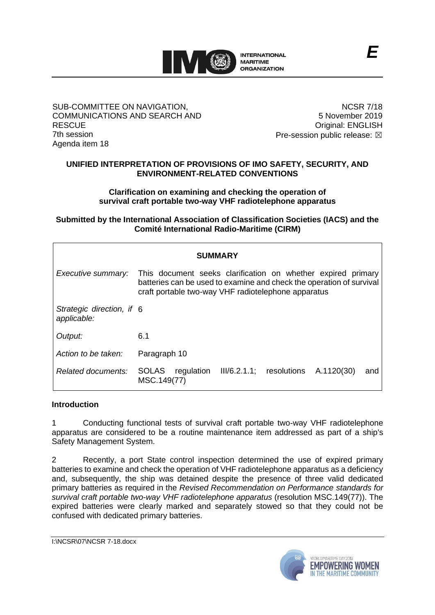

#### SUB-COMMITTEE ON NAVIGATION, COMMUNICATIONS AND SEARCH AND **RESCUE** 7th session Agenda item 18

NCSR 7/18 5 November 2019 Original: ENGLISH Pre-session public release:  $\boxtimes$ 

# **UNIFIED INTERPRETATION OF PROVISIONS OF IMO SAFETY, SECURITY, AND ENVIRONMENT-RELATED CONVENTIONS**

**Clarification on examining and checking the operation of survival craft portable two-way VHF radiotelephone apparatus**

## **Submitted by the International Association of Classification Societies (IACS) and the Comité International Radio-Maritime (CIRM)**

| <b>SUMMARY</b>                           |                                                                                                                                                                                             |
|------------------------------------------|---------------------------------------------------------------------------------------------------------------------------------------------------------------------------------------------|
| Executive summary:                       | This document seeks clarification on whether expired primary<br>batteries can be used to examine and check the operation of survival<br>craft portable two-way VHF radiotelephone apparatus |
| Strategic direction, if 6<br>applicable: |                                                                                                                                                                                             |
| Output:                                  | 6.1                                                                                                                                                                                         |
| Action to be taken:                      | Paragraph 10                                                                                                                                                                                |
| Related documents:                       | III/6.2.1.1; resolutions A.1120(30)<br>regulation<br><b>SOLAS</b><br>and<br>MSC.149(77)                                                                                                     |

### **Introduction**

1 Conducting functional tests of survival craft portable two-way VHF radiotelephone apparatus are considered to be a routine maintenance item addressed as part of a ship's Safety Management System.

2 Recently, a port State control inspection determined the use of expired primary batteries to examine and check the operation of VHF radiotelephone apparatus as a deficiency and, subsequently, the ship was detained despite the presence of three valid dedicated primary batteries as required in the *Revised Recommendation on Performance standards for survival craft portable two-way VHF radiotelephone apparatus* (resolution MSC.149(77)). The expired batteries were clearly marked and separately stowed so that they could not be confused with dedicated primary batteries.

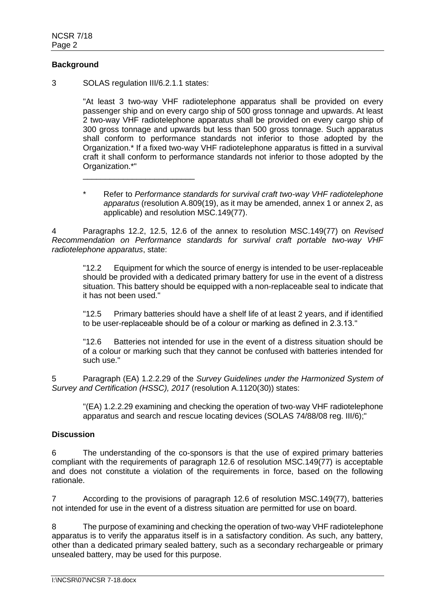# **Background**

3 SOLAS regulation III/6.2.1.1 states:

\_\_\_\_\_\_\_\_\_\_\_\_\_\_\_\_\_\_\_\_\_\_\_\_\_

"At least 3 two-way VHF radiotelephone apparatus shall be provided on every passenger ship and on every cargo ship of 500 gross tonnage and upwards. At least 2 two-way VHF radiotelephone apparatus shall be provided on every cargo ship of 300 gross tonnage and upwards but less than 500 gross tonnage. Such apparatus shall conform to performance standards not inferior to those adopted by the Organization.\* If a fixed two-way VHF radiotelephone apparatus is fitted in a survival craft it shall conform to performance standards not inferior to those adopted by the Organization.\*"

\* Refer to *Performance standards for survival craft two-way VHF radiotelephone apparatus* (resolution A.809(19), as it may be amended, annex 1 or annex 2, as applicable) and resolution MSC.149(77).

4 Paragraphs 12.2, 12.5, 12.6 of the annex to resolution MSC.149(77) on *Revised Recommendation on Performance standards for survival craft portable two-way VHF radiotelephone apparatus*, state:

"12.2 Equipment for which the source of energy is intended to be user-replaceable should be provided with a dedicated primary battery for use in the event of a distress situation. This battery should be equipped with a non-replaceable seal to indicate that it has not been used."

"12.5 Primary batteries should have a shelf life of at least 2 years, and if identified to be user-replaceable should be of a colour or marking as defined in 2.3.13."

"12.6 Batteries not intended for use in the event of a distress situation should be of a colour or marking such that they cannot be confused with batteries intended for such use."

5 Paragraph (EA) 1.2.2.29 of the *Survey Guidelines under the Harmonized System of Survey and Certification (HSSC), 2017* (resolution A.1120(30)) states:

"(EA) 1.2.2.29 examining and checking the operation of two-way VHF radiotelephone apparatus and search and rescue locating devices (SOLAS 74/88/08 reg. III/6);"

### **Discussion**

6 The understanding of the co-sponsors is that the use of expired primary batteries compliant with the requirements of paragraph 12.6 of resolution MSC.149(77) is acceptable and does not constitute a violation of the requirements in force, based on the following rationale.

7 According to the provisions of paragraph 12.6 of resolution MSC.149(77), batteries not intended for use in the event of a distress situation are permitted for use on board.

8 The purpose of examining and checking the operation of two-way VHF radiotelephone apparatus is to verify the apparatus itself is in a satisfactory condition. As such, any battery, other than a dedicated primary sealed battery, such as a secondary rechargeable or primary unsealed battery, may be used for this purpose.